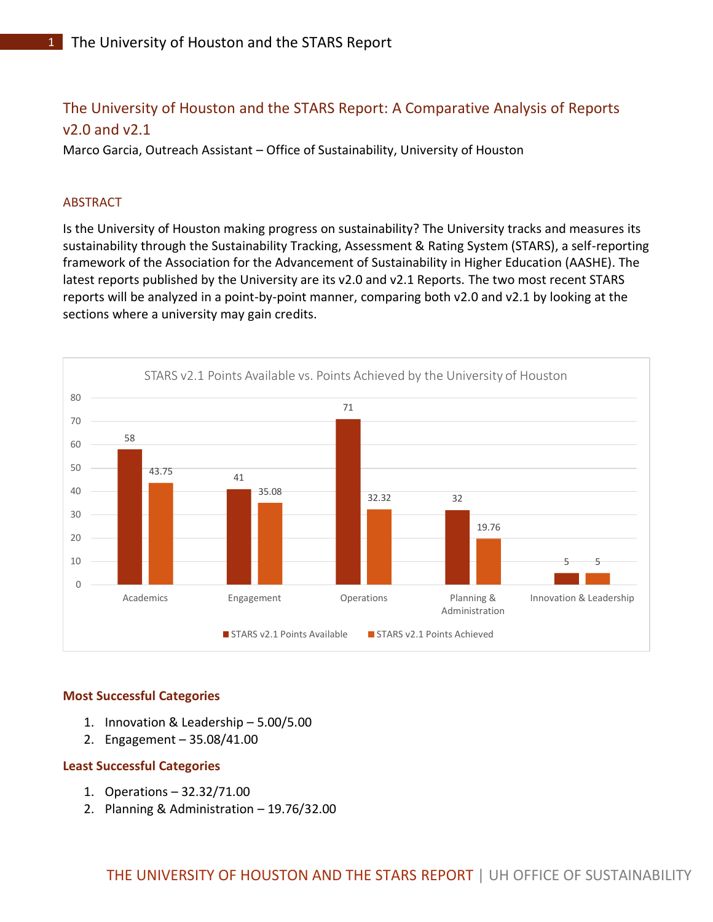# The University of Houston and the STARS Report: A Comparative Analysis of Reports v2.0 and v2.1

Marco Garcia, Outreach Assistant – Office of Sustainability, University of Houston

# ABSTRACT

Is the University of Houston making progress on sustainability? The University tracks and measures its sustainability through the Sustainability Tracking, Assessment & Rating System (STARS), a self-reporting framework of the Association for the Advancement of Sustainability in Higher Education (AASHE). The latest reports published by the University are its v2.0 and v2.1 Reports. The two most recent STARS reports will be analyzed in a point-by-point manner, comparing both v2.0 and v2.1 by looking at the sections where a university may gain credits.



# **Most Successful Categories**

- 1. Innovation & Leadership 5.00/5.00
- 2. Engagement 35.08/41.00

# **Least Successful Categories**

- 1. Operations 32.32/71.00
- 2. Planning & Administration 19.76/32.00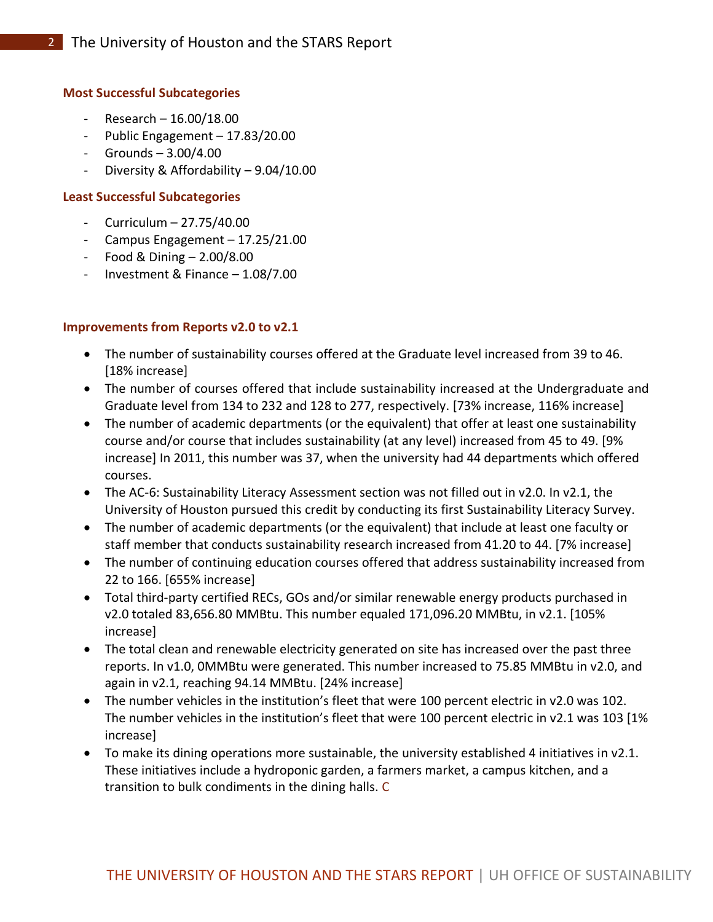#### **Most Successful Subcategories**

- $-$  Research  $-$  16.00/18.00
- Public Engagement 17.83/20.00
- Grounds 3.00/4.00
- Diversity & Affordability 9.04/10.00

#### **Least Successful Subcategories**

- Curriculum 27.75/40.00
- Campus Engagement 17.25/21.00
- $-$  Food & Dining  $2.00/8.00$
- Investment & Finance 1.08/7.00

#### **Improvements from Reports v2.0 to v2.1**

- The number of sustainability courses offered at the Graduate level increased from 39 to 46. [18% increase]
- The number of courses offered that include sustainability increased at the Undergraduate and Graduate level from 134 to 232 and 128 to 277, respectively. [73% increase, 116% increase]
- The number of academic departments (or the equivalent) that offer at least one sustainability course and/or course that includes sustainability (at any level) increased from 45 to 49. [9% increase] In 2011, this number was 37, when the university had 44 departments which offered courses.
- The AC-6: Sustainability Literacy Assessment section was not filled out in v2.0. In v2.1, the University of Houston pursued this credit by conducting its first Sustainability Literacy Survey.
- The number of academic departments (or the equivalent) that include at least one faculty or staff member that conducts sustainability research increased from 41.20 to 44. [7% increase]
- The number of continuing education courses offered that address sustainability increased from 22 to 166. [655% increase]
- Total third-party certified RECs, GOs and/or similar renewable energy products purchased in v2.0 totaled 83,656.80 MMBtu. This number equaled 171,096.20 MMBtu, in v2.1. [105% increase]
- The total clean and renewable electricity generated on site has increased over the past three reports. In v1.0, 0MMBtu were generated. This number increased to 75.85 MMBtu in v2.0, and again in v2.1, reaching 94.14 MMBtu. [24% increase]
- The number vehicles in the institution's fleet that were 100 percent electric in v2.0 was 102. The number vehicles in the institution's fleet that were 100 percent electric in v2.1 was 103 [1% increase]
- To make its dining operations more sustainable, the university established 4 initiatives in v2.1. These initiatives include a hydroponic garden, a farmers market, a campus kitchen, and a transition to bulk condiments in the dining halls. C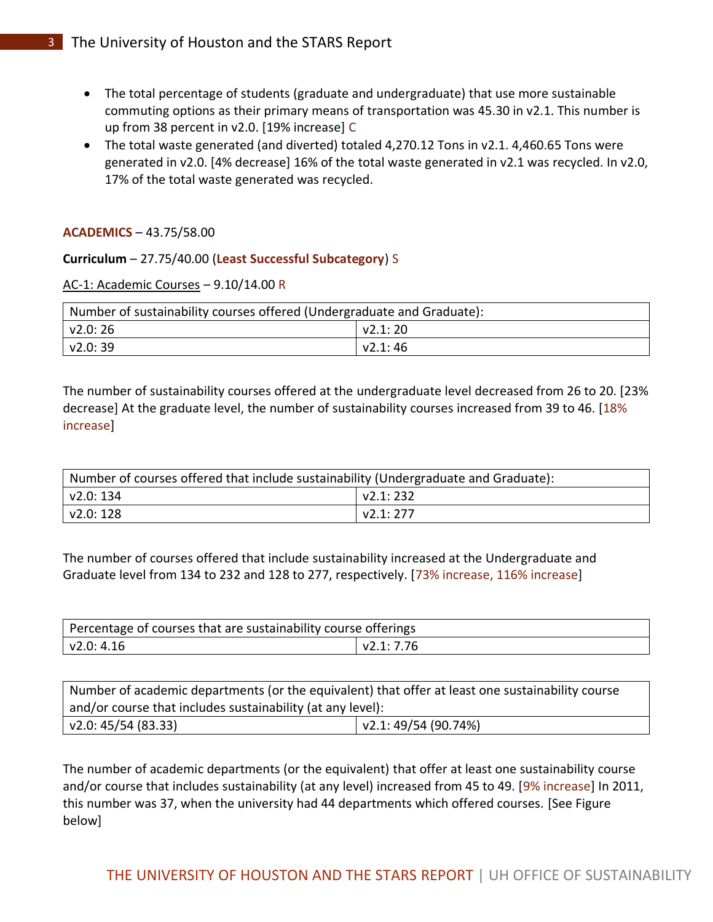- The total percentage of students (graduate and undergraduate) that use more sustainable commuting options as their primary means of transportation was 45.30 in v2.1. This number is up from 38 percent in v2.0. [19% increase] C
- The total waste generated (and diverted) totaled 4,270.12 Tons in v2.1. 4,460.65 Tons were generated in v2.0. [4% decrease] 16% of the total waste generated in v2.1 was recycled. In v2.0, 17% of the total waste generated was recycled.

# **ACADEMICS** – 43.75/58.00

# **Curriculum** – 27.75/40.00 (**Least Successful Subcategory**) S

# AC-1: Academic Courses – 9.10/14.00 R

| Number of sustainability courses offered (Undergraduate and Graduate): |                 |  |
|------------------------------------------------------------------------|-----------------|--|
| $\sqrt{2.0}$ : 26                                                      | $\sqrt{2.1:20}$ |  |
| $\sqrt{2.0}$ : 39                                                      | V2.1:46         |  |

The number of sustainability courses offered at the undergraduate level decreased from 26 to 20. [23% decrease] At the graduate level, the number of sustainability courses increased from 39 to 46. [18% increase]

| Number of courses offered that include sustainability (Undergraduate and Graduate): |           |  |
|-------------------------------------------------------------------------------------|-----------|--|
| v2.0: 134                                                                           | V2.1:232  |  |
| v2.0: 128                                                                           | v2.1: 277 |  |

The number of courses offered that include sustainability increased at the Undergraduate and Graduate level from 134 to 232 and 128 to 277, respectively. [73% increase, 116% increase]

| Percentage of courses that are sustainability course offerings |  |
|----------------------------------------------------------------|--|
| l v2.0: 4.16                                                   |  |

Number of academic departments (or the equivalent) that offer at least one sustainability course and/or course that includes sustainability (at any level): v2.0: 45/54 (83.33) v2.1: 49/54 (90.74%)

The number of academic departments (or the equivalent) that offer at least one sustainability course and/or course that includes sustainability (at any level) increased from 45 to 49. [9% increase] In 2011, this number was 37, when the university had 44 departments which offered courses. [See Figure below]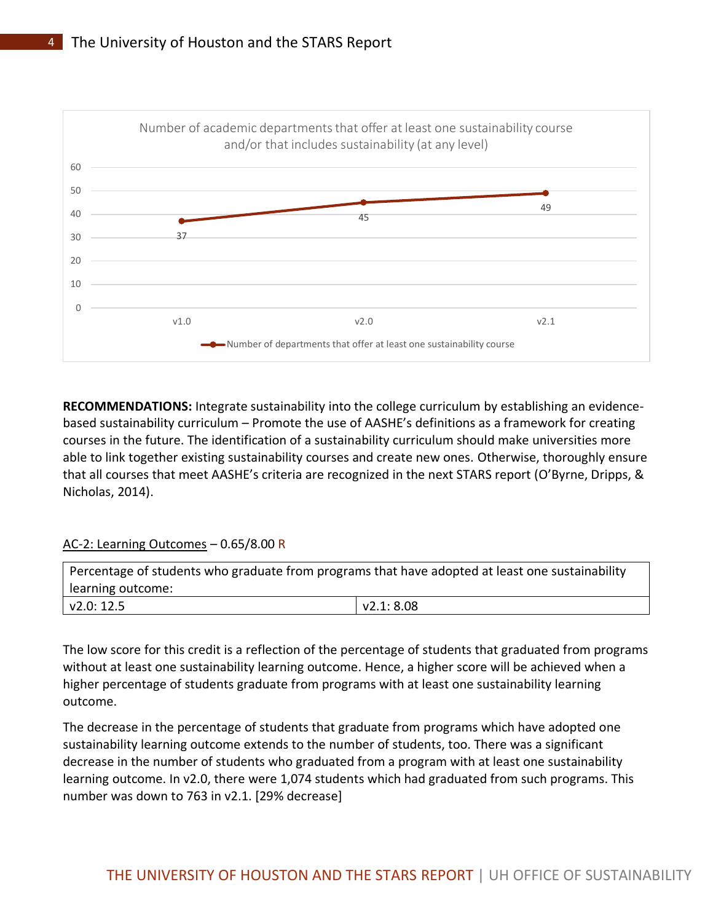

**RECOMMENDATIONS:** Integrate sustainability into the college curriculum by establishing an evidencebased sustainability curriculum – Promote the use of AASHE's definitions as a framework for creating courses in the future. The identification of a sustainability curriculum should make universities more able to link together existing sustainability courses and create new ones. Otherwise, thoroughly ensure that all courses that meet AASHE's criteria are recognized in the next STARS report (O'Byrne, Dripps, & Nicholas, 2014).

# AC-2: Learning Outcomes – 0.65/8.00 R

| Percentage of students who graduate from programs that have adopted at least one sustainability |            |  |
|-------------------------------------------------------------------------------------------------|------------|--|
| learning outcome:                                                                               |            |  |
| v2.0: 12.5                                                                                      | v2.1: 8.08 |  |

The low score for this credit is a reflection of the percentage of students that graduated from programs without at least one sustainability learning outcome. Hence, a higher score will be achieved when a higher percentage of students graduate from programs with at least one sustainability learning outcome.

The decrease in the percentage of students that graduate from programs which have adopted one sustainability learning outcome extends to the number of students, too. There was a significant decrease in the number of students who graduated from a program with at least one sustainability learning outcome. In v2.0, there were 1,074 students which had graduated from such programs. This number was down to 763 in v2.1. [29% decrease]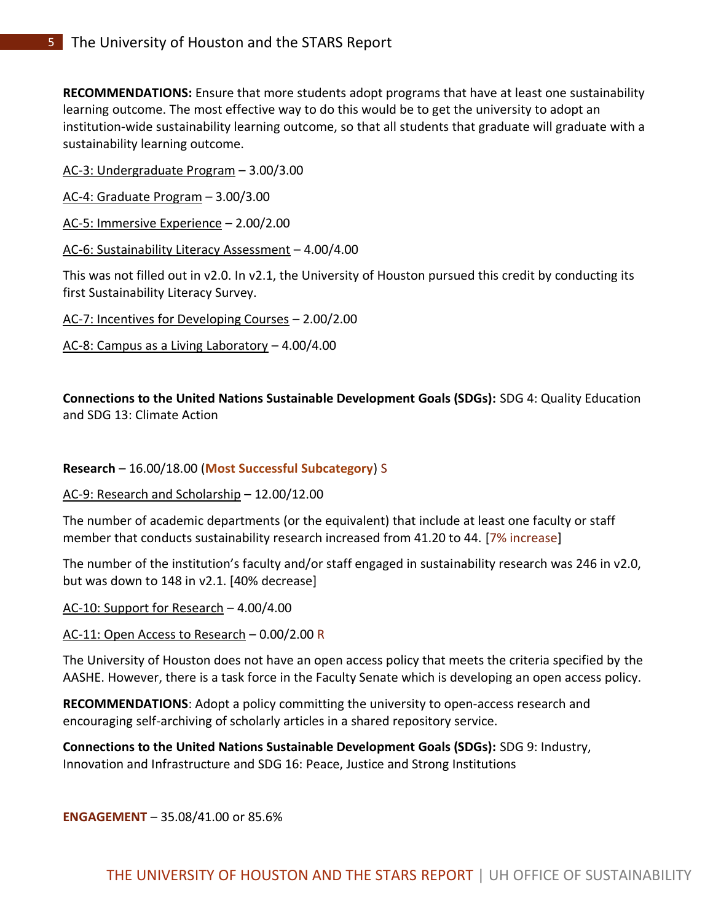**RECOMMENDATIONS:** Ensure that more students adopt programs that have at least one sustainability learning outcome. The most effective way to do this would be to get the university to adopt an institution-wide sustainability learning outcome, so that all students that graduate will graduate with a sustainability learning outcome.

AC-3: Undergraduate Program – 3.00/3.00

AC-4: Graduate Program – 3.00/3.00

AC-5: Immersive Experience – 2.00/2.00

AC-6: Sustainability Literacy Assessment – 4.00/4.00

This was not filled out in v2.0. In v2.1, the University of Houston pursued this credit by conducting its first Sustainability Literacy Survey.

AC-7: Incentives for Developing Courses – 2.00/2.00

AC-8: Campus as a Living Laboratory – 4.00/4.00

**Connections to the United Nations Sustainable Development Goals (SDGs):** SDG 4: Quality Education and SDG 13: Climate Action

**Research** – 16.00/18.00 (**Most Successful Subcategory**) S

AC-9: Research and Scholarship – 12.00/12.00

The number of academic departments (or the equivalent) that include at least one faculty or staff member that conducts sustainability research increased from 41.20 to 44. [7% increase]

The number of the institution's faculty and/or staff engaged in sustainability research was 246 in v2.0, but was down to 148 in v2.1. [40% decrease]

AC-10: Support for Research – 4.00/4.00

AC-11: Open Access to Research – 0.00/2.00 R

The University of Houston does not have an open access policy that meets the criteria specified by the AASHE. However, there is a task force in the Faculty Senate which is developing an open access policy.

**RECOMMENDATIONS**: Adopt a policy committing the university to open-access research and encouraging self-archiving of scholarly articles in a shared repository service.

**Connections to the United Nations Sustainable Development Goals (SDGs):** SDG 9: Industry, Innovation and Infrastructure and SDG 16: Peace, Justice and Strong Institutions

**ENGAGEMENT** – 35.08/41.00 or 85.6%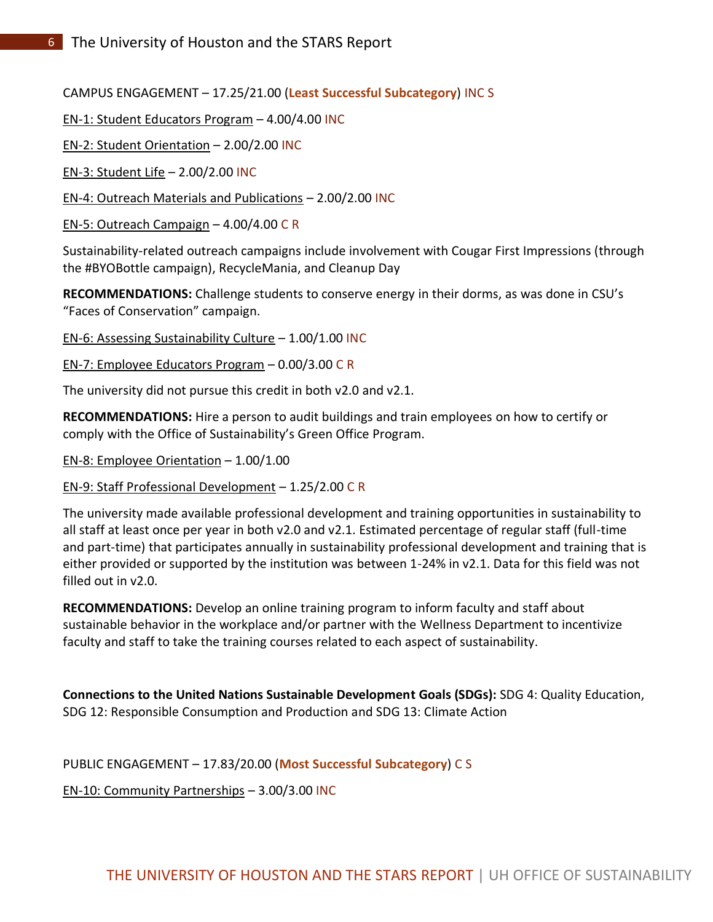CAMPUS ENGAGEMENT – 17.25/21.00 (**Least Successful Subcategory**) INC S

EN-1: Student Educators Program – 4.00/4.00 INC

EN-2: Student Orientation – 2.00/2.00 INC

EN-3: Student Life – 2.00/2.00 INC

EN-4: Outreach Materials and Publications – 2.00/2.00 INC

EN-5: Outreach Campaign – 4.00/4.00 C R

Sustainability-related outreach campaigns include involvement with Cougar First Impressions (through the #BYOBottle campaign), RecycleMania, and Cleanup Day

**RECOMMENDATIONS:** Challenge students to conserve energy in their dorms, as was done in CSU's "Faces of Conservation" campaign.

EN-6: Assessing Sustainability Culture  $- 1.00/1.00$  INC

EN-7: Employee Educators Program – 0.00/3.00 C R

The university did not pursue this credit in both v2.0 and v2.1.

**RECOMMENDATIONS:** Hire a person to audit buildings and train employees on how to certify or comply with the Office of Sustainability's Green Office Program.

EN-8: Employee Orientation – 1.00/1.00

EN-9: Staff Professional Development – 1.25/2.00 C R

The university made available professional development and training opportunities in sustainability to all staff at least once per year in both v2.0 and v2.1. Estimated percentage of regular staff (full-time and part-time) that participates annually in sustainability professional development and training that is either provided or supported by the institution was between 1-24% in v2.1. Data for this field was not filled out in v2.0.

**RECOMMENDATIONS:** Develop an online training program to inform faculty and staff about sustainable behavior in the workplace and/or partner with the Wellness Department to incentivize faculty and staff to take the training courses related to each aspect of sustainability.

**Connections to the United Nations Sustainable Development Goals (SDGs):** SDG 4: Quality Education, SDG 12: Responsible Consumption and Production and SDG 13: Climate Action

PUBLIC ENGAGEMENT – 17.83/20.00 (**Most Successful Subcategory**) C S

EN-10: Community Partnerships – 3.00/3.00 INC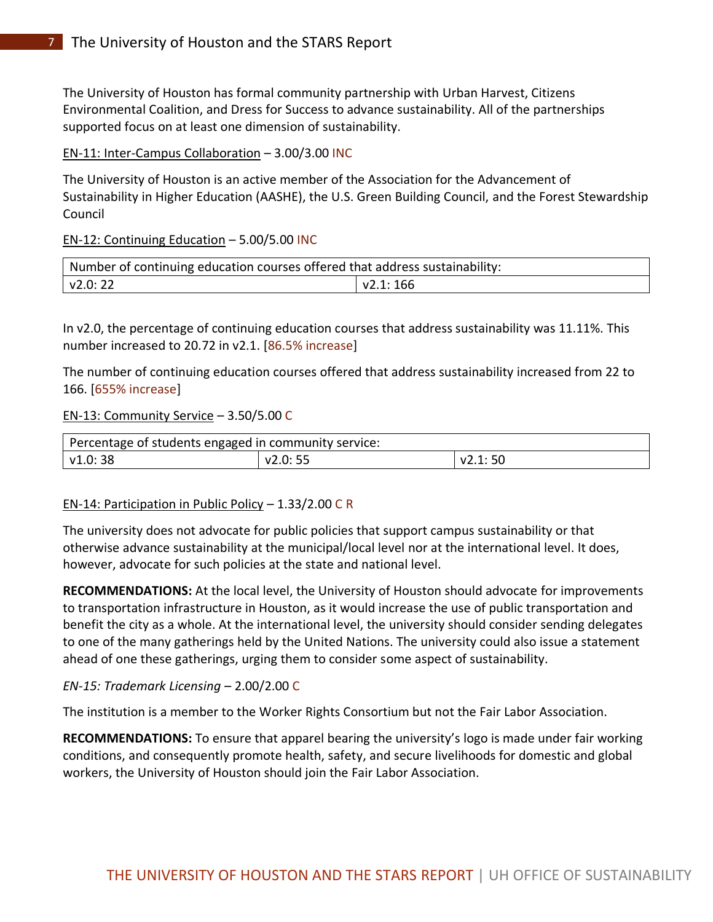The University of Houston has formal community partnership with Urban Harvest, Citizens Environmental Coalition, and Dress for Success to advance sustainability. All of the partnerships supported focus on at least one dimension of sustainability.

#### EN-11: Inter-Campus Collaboration – 3.00/3.00 INC

The University of Houston is an active member of the Association for the Advancement of Sustainability in Higher Education (AASHE), the U.S. Green Building Council, and the Forest Stewardship Council

### EN-12: Continuing Education – 5.00/5.00 INC

| Number of continuing education courses offered that address sustainability: |          |  |
|-----------------------------------------------------------------------------|----------|--|
| $\sqrt{2.0:22}$                                                             | v2.1:166 |  |

In v2.0, the percentage of continuing education courses that address sustainability was 11.11%. This number increased to 20.72 in v2.1. [86.5% increase]

The number of continuing education courses offered that address sustainability increased from 22 to 166. [655% increase]

#### EN-13: Community Service – 3.50/5.00 C

| Percentage of students engaged in community service: |         |                 |
|------------------------------------------------------|---------|-----------------|
| $\vert$ v1.0: 38                                     | v2.0:55 | $\sqrt{2.1:50}$ |

### EN-14: Participation in Public Policy – 1.33/2.00 C R

The university does not advocate for public policies that support campus sustainability or that otherwise advance sustainability at the municipal/local level nor at the international level. It does, however, advocate for such policies at the state and national level.

**RECOMMENDATIONS:** At the local level, the University of Houston should advocate for improvements to transportation infrastructure in Houston, as it would increase the use of public transportation and benefit the city as a whole. At the international level, the university should consider sending delegates to one of the many gatherings held by the United Nations. The university could also issue a statement ahead of one these gatherings, urging them to consider some aspect of sustainability.

#### *EN-15: Trademark Licensing* – 2.00/2.00 C

The institution is a member to the Worker Rights Consortium but not the Fair Labor Association.

**RECOMMENDATIONS:** To ensure that apparel bearing the university's logo is made under fair working conditions, and consequently promote health, safety, and secure livelihoods for domestic and global workers, the University of Houston should join the Fair Labor Association.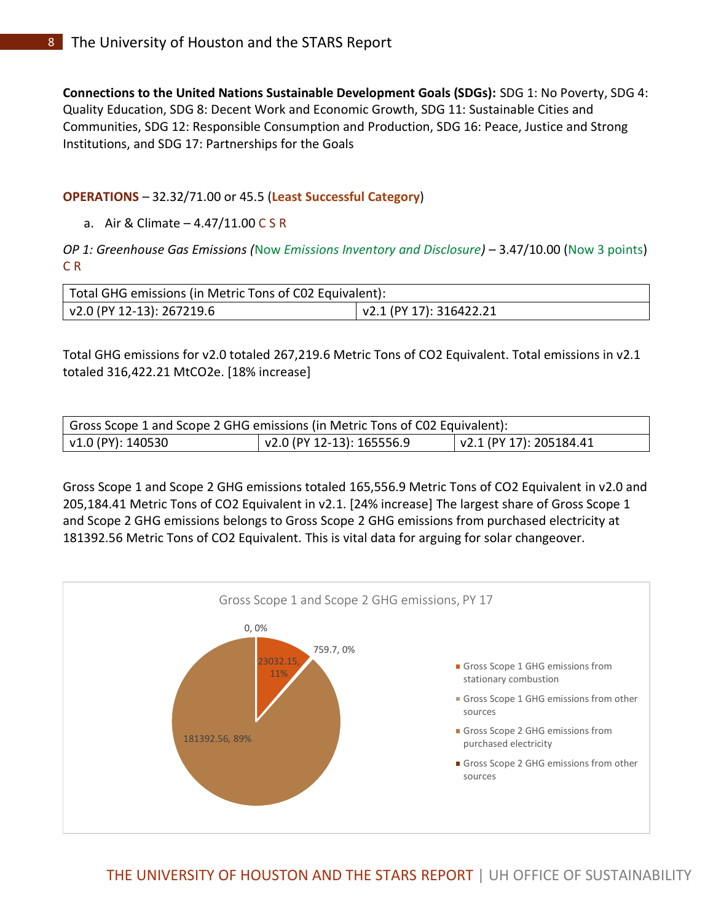**Connections to the United Nations Sustainable Development Goals (SDGs):** SDG 1: No Poverty, SDG 4: Quality Education, SDG 8: Decent Work and Economic Growth, SDG 11: Sustainable Cities and Communities, SDG 12: Responsible Consumption and Production, SDG 16: Peace, Justice and Strong Institutions, and SDG 17: Partnerships for the Goals

### **OPERATIONS** – 32.32/71.00 or 45.5 (**Least Successful Category**)

a. Air & Climate – 4.47/11.00 C S R

*OP 1: Greenhouse Gas Emissions (*Now *Emissions Inventory and Disclosure)* – 3.47/10.00 (Now 3 points) C R

| Total GHG emissions (in Metric Tons of C02 Equivalent): |                         |  |
|---------------------------------------------------------|-------------------------|--|
| v2.0 (PY 12-13): 267219.6                               | v2.1 (PY 17): 316422.21 |  |

Total GHG emissions for v2.0 totaled 267,219.6 Metric Tons of CO2 Equivalent. Total emissions in v2.1 totaled 316,422.21 MtCO2e. [18% increase]

| Gross Scope 1 and Scope 2 GHG emissions (in Metric Tons of C02 Equivalent): |                           |                                 |
|-----------------------------------------------------------------------------|---------------------------|---------------------------------|
| V1.0 (PY): 140530                                                           | v2.0 (PY 12-13): 165556.9 | $\vert$ v2.1 (PY 17): 205184.41 |

Gross Scope 1 and Scope 2 GHG emissions totaled 165,556.9 Metric Tons of CO2 Equivalent in v2.0 and 205,184.41 Metric Tons of CO2 Equivalent in v2.1. [24% increase] The largest share of Gross Scope 1 and Scope 2 GHG emissions belongs to Gross Scope 2 GHG emissions from purchased electricity at 181392.56 Metric Tons of CO2 Equivalent. This is vital data for arguing for solar changeover.

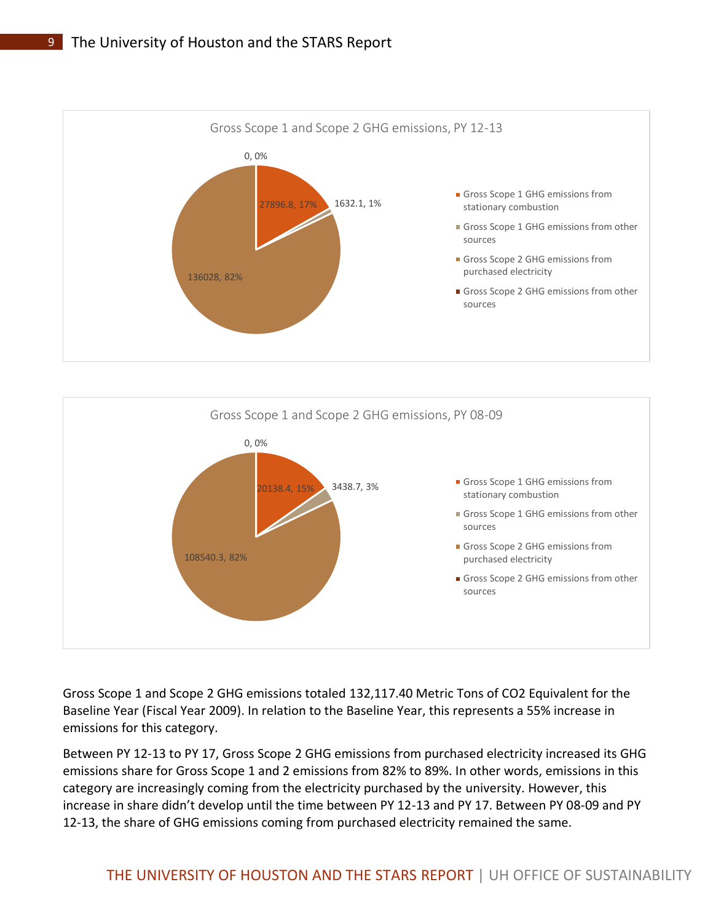



Gross Scope 1 and Scope 2 GHG emissions totaled 132,117.40 Metric Tons of CO2 Equivalent for the Baseline Year (Fiscal Year 2009). In relation to the Baseline Year, this represents a 55% increase in emissions for this category.

Between PY 12-13 to PY 17, Gross Scope 2 GHG emissions from purchased electricity increased its GHG emissions share for Gross Scope 1 and 2 emissions from 82% to 89%. In other words, emissions in this category are increasingly coming from the electricity purchased by the university. However, this increase in share didn't develop until the time between PY 12-13 and PY 17. Between PY 08-09 and PY 12-13, the share of GHG emissions coming from purchased electricity remained the same.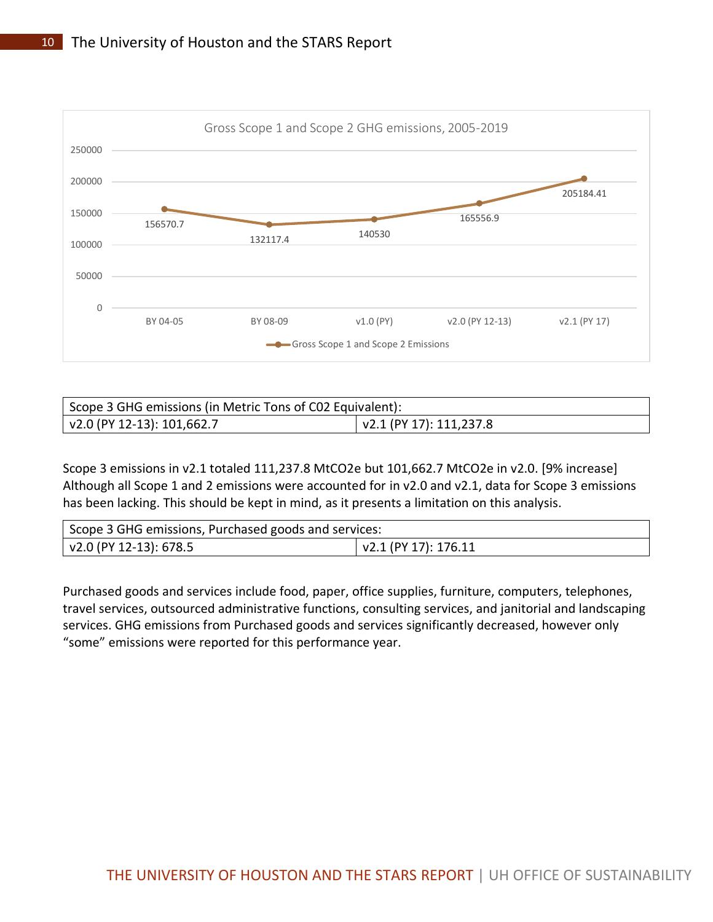

| Scope 3 GHG emissions (in Metric Tons of C02 Equivalent): |                                 |  |
|-----------------------------------------------------------|---------------------------------|--|
| v2.0 (PY 12-13): 101,662.7                                | $\sqrt{2.1}$ (PY 17): 111,237.8 |  |

Scope 3 emissions in v2.1 totaled 111,237.8 MtCO2e but 101,662.7 MtCO2e in v2.0. [9% increase] Although all Scope 1 and 2 emissions were accounted for in v2.0 and v2.1, data for Scope 3 emissions has been lacking. This should be kept in mind, as it presents a limitation on this analysis.

| Scope 3 GHG emissions, Purchased goods and services: |                      |  |
|------------------------------------------------------|----------------------|--|
| v2.0 (PY 12-13): 678.5                               | v2.1 (PY 17): 176.11 |  |

Purchased goods and services include food, paper, office supplies, furniture, computers, telephones, travel services, outsourced administrative functions, consulting services, and janitorial and landscaping services. GHG emissions from Purchased goods and services significantly decreased, however only "some" emissions were reported for this performance year.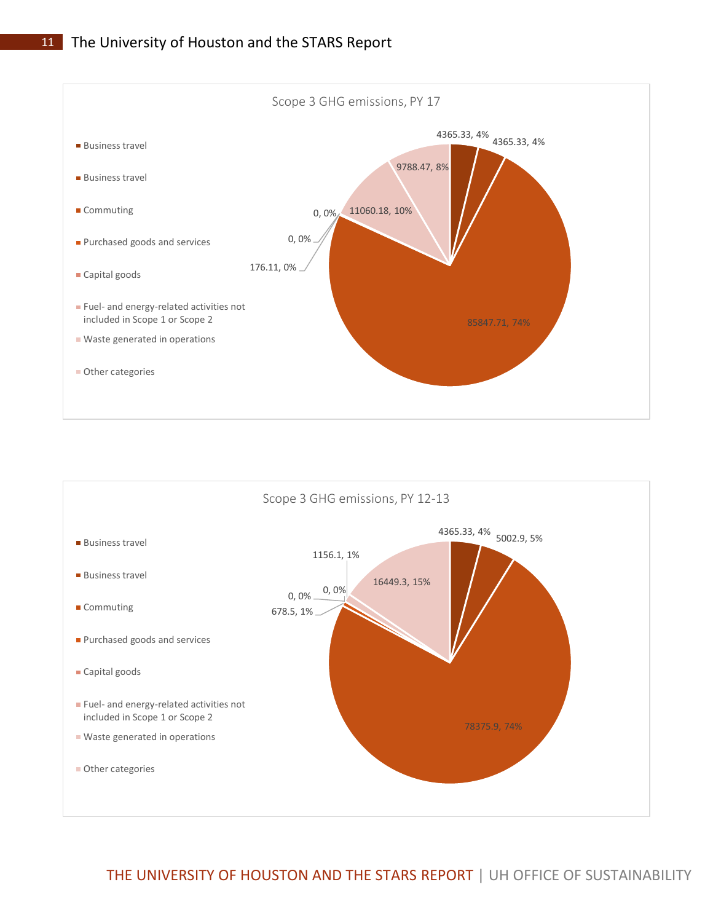



THE UNIVERSITY OF HOUSTON AND THE STARS REPORT | UH OFFICE OF SUSTAINABILITY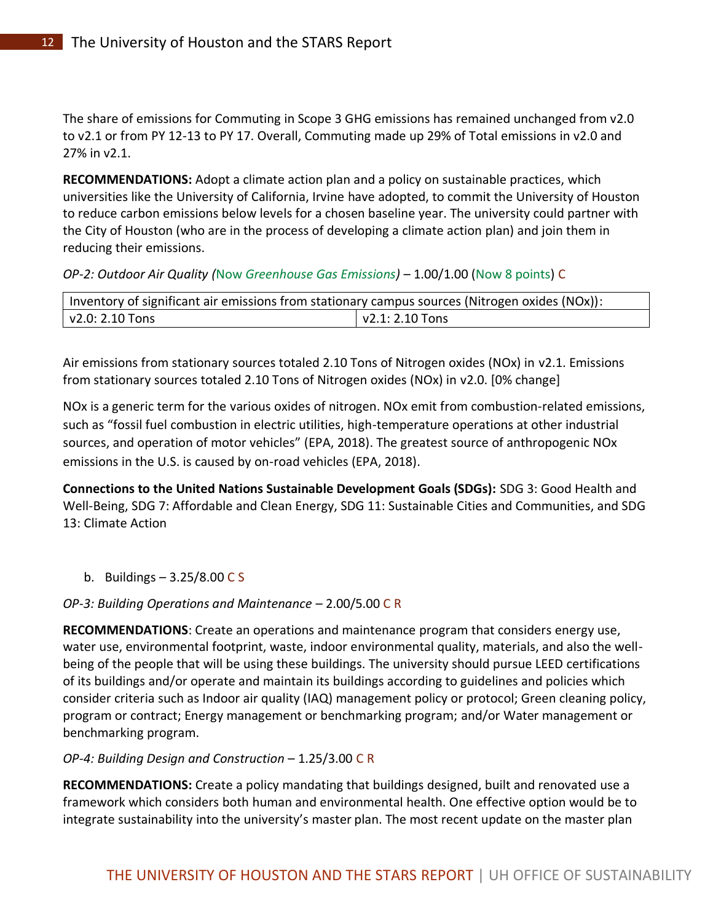The share of emissions for Commuting in Scope 3 GHG emissions has remained unchanged from v2.0 to v2.1 or from PY 12-13 to PY 17. Overall, Commuting made up 29% of Total emissions in v2.0 and 27% in v2.1.

**RECOMMENDATIONS:** Adopt a climate action plan and a policy on sustainable practices, which universities like the University of California, Irvine have adopted, to commit the University of Houston to reduce carbon emissions below levels for a chosen baseline year. The university could partner with the City of Houston (who are in the process of developing a climate action plan) and join them in reducing their emissions.

*OP-2: Outdoor Air Quality (*Now *Greenhouse Gas Emissions)* – 1.00/1.00 (Now 8 points) C

| Inventory of significant air emissions from stationary campus sources (Nitrogen oxides (NOx)): |                        |  |
|------------------------------------------------------------------------------------------------|------------------------|--|
| $\sqrt{2.0}$ : 2.10 Tons                                                                       | $\sqrt{2.1:2.10}$ Tons |  |

Air emissions from stationary sources totaled 2.10 Tons of Nitrogen oxides (NOx) in v2.1. Emissions from stationary sources totaled 2.10 Tons of Nitrogen oxides (NOx) in v2.0. [0% change]

NOx is a generic term for the various oxides of nitrogen. NOx emit from combustion-related emissions, such as "fossil fuel combustion in electric utilities, high-temperature operations at other industrial sources, and operation of motor vehicles" (EPA, 2018). The greatest source of anthropogenic NOx emissions in the U.S. is caused by on-road vehicles (EPA, 2018).

**Connections to the United Nations Sustainable Development Goals (SDGs):** SDG 3: Good Health and Well-Being, SDG 7: Affordable and Clean Energy, SDG 11: Sustainable Cities and Communities, and SDG 13: Climate Action

# b. Buildings  $-3.25/8.00 C S$

*OP-3: Building Operations and Maintenance* – 2.00/5.00 C R

**RECOMMENDATIONS**: Create an operations and maintenance program that considers energy use, water use, environmental footprint, waste, indoor environmental quality, materials, and also the wellbeing of the people that will be using these buildings. The university should pursue LEED certifications of its buildings and/or operate and maintain its buildings according to guidelines and policies which consider criteria such as Indoor air quality (IAQ) management policy or protocol; Green cleaning policy, program or contract; Energy management or benchmarking program; and/or Water management or benchmarking program.

*OP-4: Building Design and Construction* – 1.25/3.00 C R

**RECOMMENDATIONS:** Create a policy mandating that buildings designed, built and renovated use a framework which considers both human and environmental health. One effective option would be to integrate sustainability into the university's master plan. The most recent update on the master plan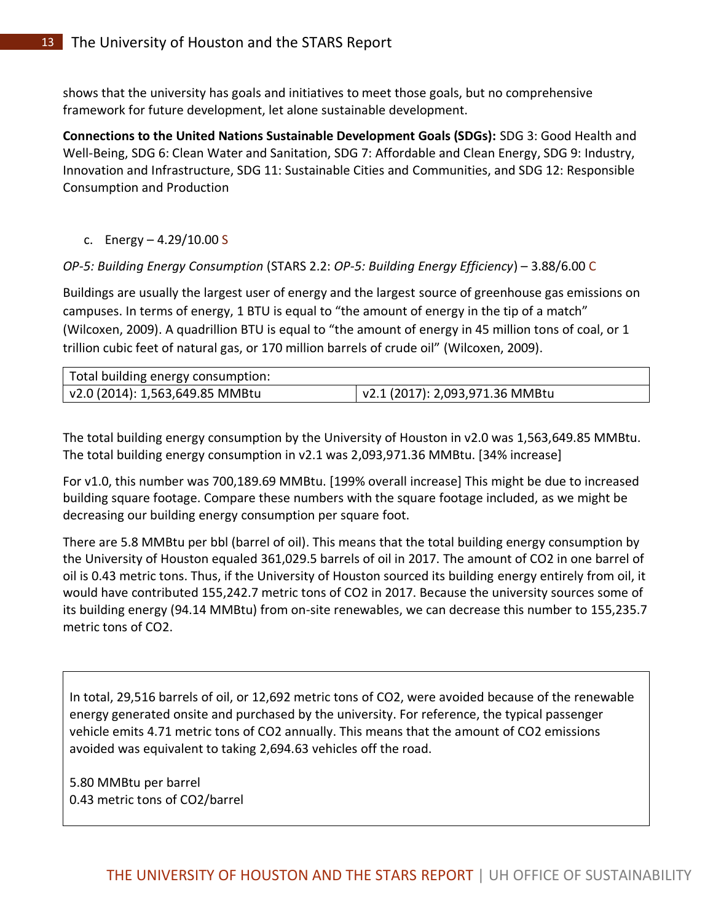shows that the university has goals and initiatives to meet those goals, but no comprehensive framework for future development, let alone sustainable development.

**Connections to the United Nations Sustainable Development Goals (SDGs):** SDG 3: Good Health and Well-Being, SDG 6: Clean Water and Sanitation, SDG 7: Affordable and Clean Energy, SDG 9: Industry, Innovation and Infrastructure, SDG 11: Sustainable Cities and Communities, and SDG 12: Responsible Consumption and Production

c. Energy – 4.29/10.00 S

# *OP-5: Building Energy Consumption* (STARS 2.2: *OP-5: Building Energy Efficiency*) – 3.88/6.00 C

Buildings are usually the largest user of energy and the largest source of greenhouse gas emissions on campuses. In terms of energy, 1 BTU is equal to "the amount of energy in the tip of a match" (Wilcoxen, 2009). A quadrillion BTU is equal to "the amount of energy in 45 million tons of coal, or 1 trillion cubic feet of natural gas, or 170 million barrels of crude oil" (Wilcoxen, 2009).

| Total building energy consumption: |                                         |
|------------------------------------|-----------------------------------------|
| v2.0 (2014): 1,563,649.85 MMBtu    | $\vert$ v2.1 (2017): 2,093,971.36 MMBtu |

The total building energy consumption by the University of Houston in v2.0 was 1,563,649.85 MMBtu. The total building energy consumption in v2.1 was 2,093,971.36 MMBtu. [34% increase]

For v1.0, this number was 700,189.69 MMBtu. [199% overall increase] This might be due to increased building square footage. Compare these numbers with the square footage included, as we might be decreasing our building energy consumption per square foot.

There are 5.8 MMBtu per bbl (barrel of oil). This means that the total building energy consumption by the University of Houston equaled 361,029.5 barrels of oil in 2017. The amount of CO2 in one barrel of oil is 0.43 metric tons. Thus, if the University of Houston sourced its building energy entirely from oil, it would have contributed 155,242.7 metric tons of CO2 in 2017. Because the university sources some of its building energy (94.14 MMBtu) from on-site renewables, we can decrease this number to 155,235.7 metric tons of CO2.

In total, 29,516 barrels of oil, or 12,692 metric tons of CO2, were avoided because of the renewable energy generated onsite and purchased by the university. For reference, the typical passenger vehicle emits 4.71 metric tons of CO2 annually. This means that the amount of CO2 emissions avoided was equivalent to taking 2,694.63 vehicles off the road.

5.80 MMBtu per barrel 0.43 metric tons of CO2/barrel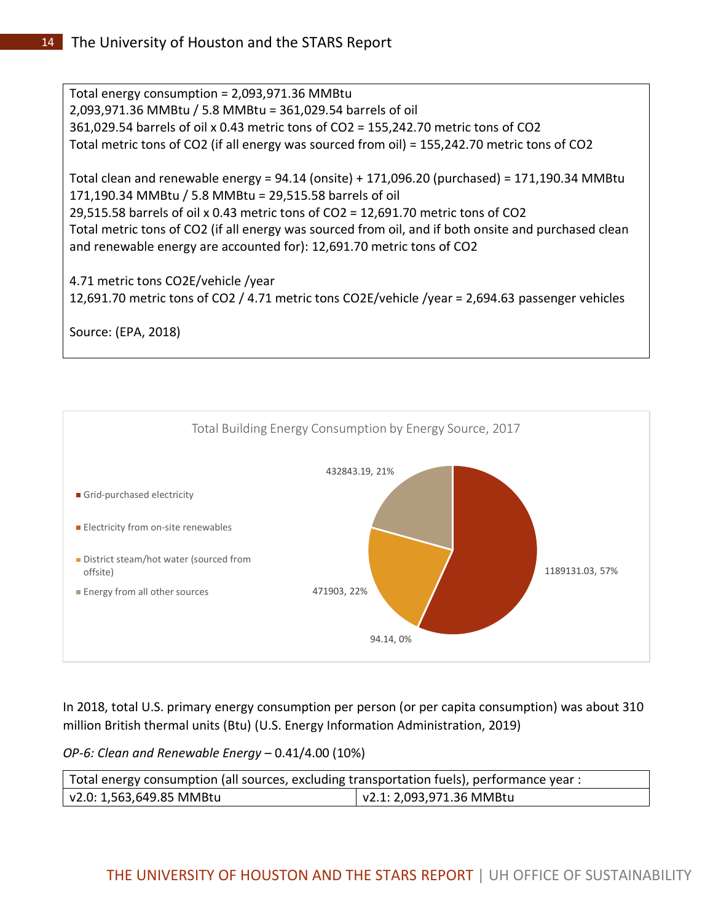Total energy consumption = 2,093,971.36 MMBtu 2,093,971.36 MMBtu / 5.8 MMBtu = 361,029.54 barrels of oil 361,029.54 barrels of oil x 0.43 metric tons of CO2 = 155,242.70 metric tons of CO2 Total metric tons of CO2 (if all energy was sourced from oil) = 155,242.70 metric tons of CO2

Total clean and renewable energy = 94.14 (onsite) + 171,096.20 (purchased) = 171,190.34 MMBtu 171,190.34 MMBtu / 5.8 MMBtu = 29,515.58 barrels of oil 29,515.58 barrels of oil x 0.43 metric tons of CO2 = 12,691.70 metric tons of CO2 Total metric tons of CO2 (if all energy was sourced from oil, and if both onsite and purchased clean and renewable energy are accounted for): 12,691.70 metric tons of CO2

4.71 metric tons CO2E/vehicle /year 12,691.70 metric tons of CO2 / 4.71 metric tons CO2E/vehicle /year = 2,694.63 passenger vehicles

Source: (EPA, 2018)



In 2018, total U.S. primary energy consumption per person (or per capita consumption) was about 310 million British thermal units (Btu) (U.S. Energy Information Administration, 2019)

*OP-6: Clean and Renewable Energy* – 0.41/4.00 (10%)

| Total energy consumption (all sources, excluding transportation fuels), performance year : |                                  |  |
|--------------------------------------------------------------------------------------------|----------------------------------|--|
| v2.0: 1,563,649.85 MMBtu                                                                   | $\sqrt{2.1: 2,093,971.36}$ MMBtu |  |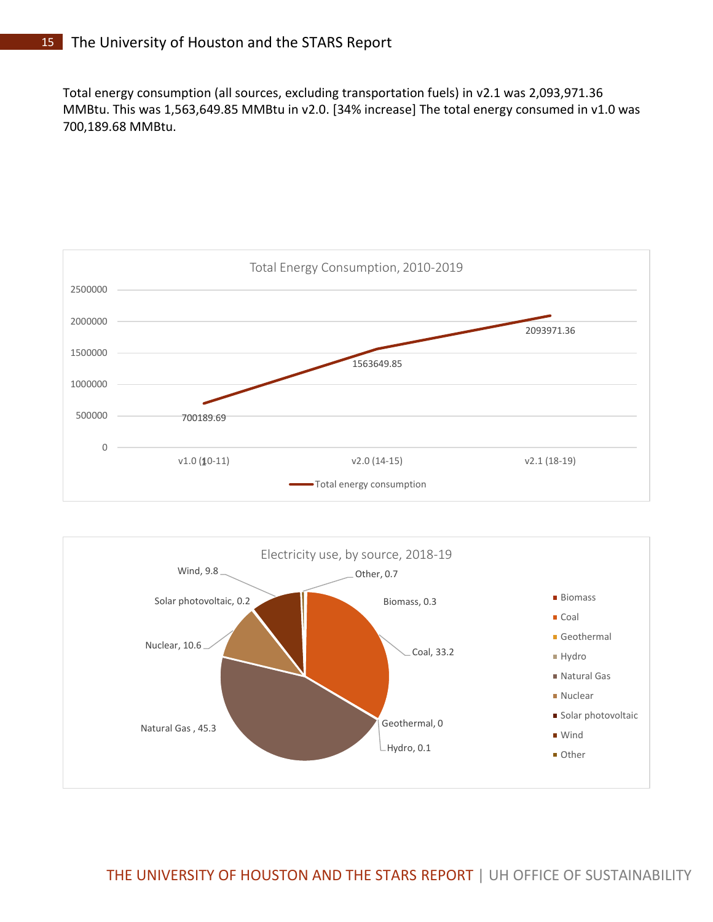Total energy consumption (all sources, excluding transportation fuels) in v2.1 was 2,093,971.36 MMBtu. This was 1,563,649.85 MMBtu in v2.0. [34% increase] The total energy consumed in v1.0 was 700,189.68 MMBtu.



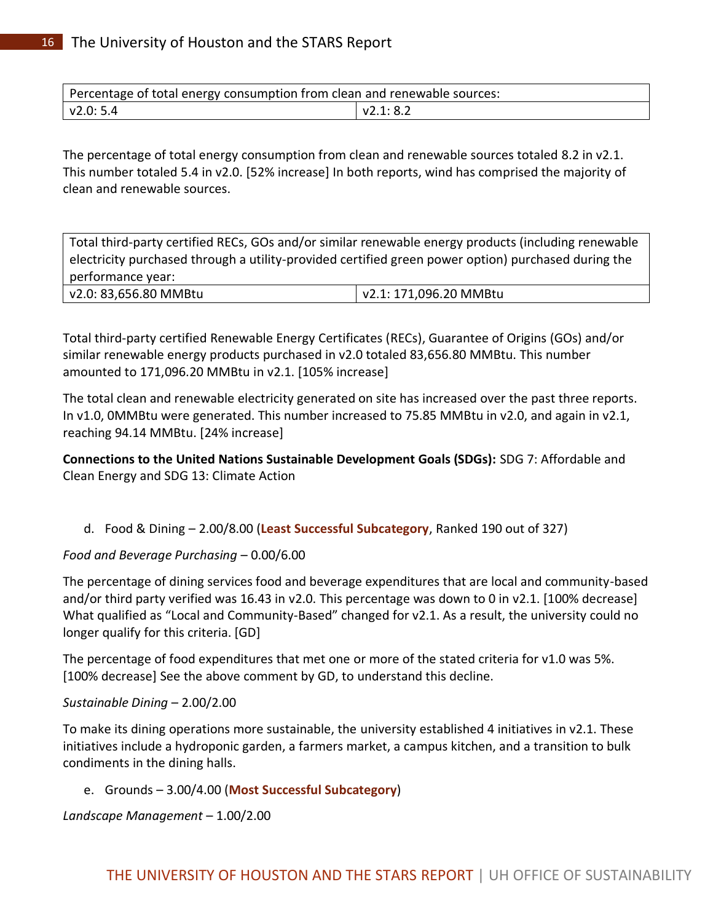Percentage of total energy consumption from clean and renewable sources: v2.0: 5.4 v2.1: 8.2

The percentage of total energy consumption from clean and renewable sources totaled 8.2 in v2.1. This number totaled 5.4 in v2.0. [52% increase] In both reports, wind has comprised the majority of clean and renewable sources.

Total third-party certified RECs, GOs and/or similar renewable energy products (including renewable electricity purchased through a utility-provided certified green power option) purchased during the performance year:

| v2.0: 83,656.80 MMBtu | v2.1: 171,096.20 MMBtu |
|-----------------------|------------------------|
|-----------------------|------------------------|

Total third-party certified Renewable Energy Certificates (RECs), Guarantee of Origins (GOs) and/or similar renewable energy products purchased in v2.0 totaled 83,656.80 MMBtu. This number amounted to 171,096.20 MMBtu in v2.1. [105% increase]

The total clean and renewable electricity generated on site has increased over the past three reports. In v1.0, 0MMBtu were generated. This number increased to 75.85 MMBtu in v2.0, and again in v2.1, reaching 94.14 MMBtu. [24% increase]

**Connections to the United Nations Sustainable Development Goals (SDGs):** SDG 7: Affordable and Clean Energy and SDG 13: Climate Action

d. Food & Dining – 2.00/8.00 (**Least Successful Subcategory**, Ranked 190 out of 327)

### *Food and Beverage Purchasing* – 0.00/6.00

The percentage of dining services food and beverage expenditures that are local and community-based and/or third party verified was 16.43 in v2.0. This percentage was down to 0 in v2.1. [100% decrease] What qualified as "Local and Community-Based" changed for v2.1. As a result, the university could no longer qualify for this criteria. [GD]

The percentage of food expenditures that met one or more of the stated criteria for v1.0 was 5%. [100% decrease] See the above comment by GD, to understand this decline.

### *Sustainable Dining* – 2.00/2.00

To make its dining operations more sustainable, the university established 4 initiatives in v2.1. These initiatives include a hydroponic garden, a farmers market, a campus kitchen, and a transition to bulk condiments in the dining halls.

### e. Grounds – 3.00/4.00 (**Most Successful Subcategory**)

*Landscape Management* – 1.00/2.00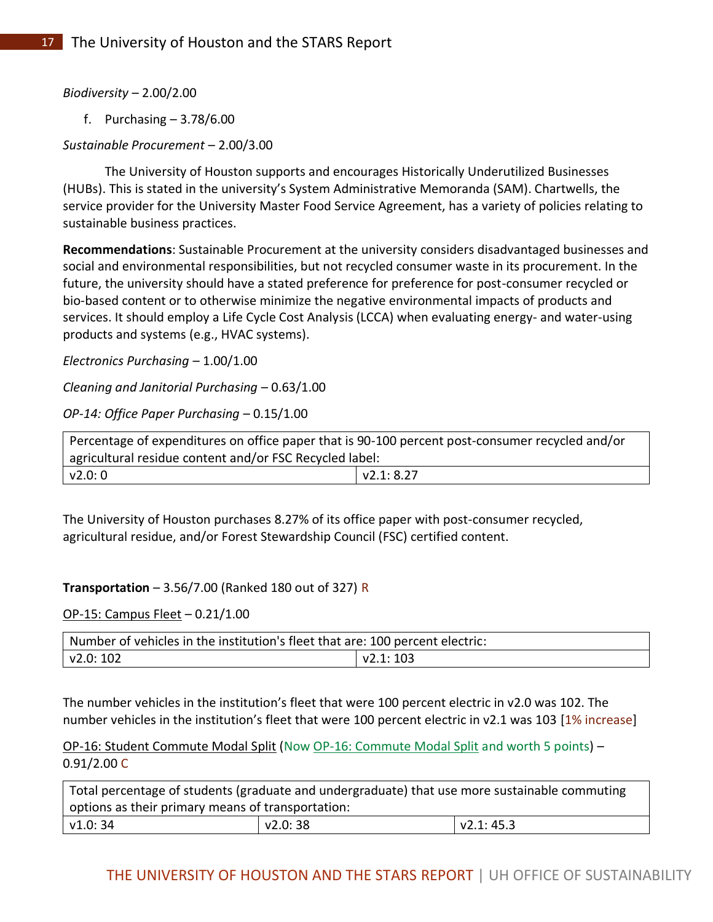*Biodiversity* – 2.00/2.00

f. Purchasing – 3.78/6.00

# *Sustainable Procurement* – 2.00/3.00

The University of Houston supports and encourages Historically Underutilized Businesses (HUBs). This is stated in the university's System Administrative Memoranda (SAM). Chartwells, the service provider for the University Master Food Service Agreement, has a variety of policies relating to sustainable business practices.

**Recommendations**: Sustainable Procurement at the university considers disadvantaged businesses and social and environmental responsibilities, but not recycled consumer waste in its procurement. In the future, the university should have a stated preference for preference for post-consumer recycled or bio-based content or to otherwise minimize the negative environmental impacts of products and services. It should employ a Life Cycle Cost Analysis (LCCA) when evaluating energy- and water-using products and systems (e.g., HVAC systems).

*Electronics Purchasing* – 1.00/1.00

*Cleaning and Janitorial Purchasing* – 0.63/1.00

*OP-14: Office Paper Purchasing* – 0.15/1.00

| Percentage of expenditures on office paper that is 90-100 percent post-consumer recycled and/or |  |  |
|-------------------------------------------------------------------------------------------------|--|--|
| agricultural residue content and/or FSC Recycled label:                                         |  |  |
| V2.1:8.27<br>  v2.0: 0                                                                          |  |  |

The University of Houston purchases 8.27% of its office paper with post-consumer recycled, agricultural residue, and/or Forest Stewardship Council (FSC) certified content.

### **Transportation** – 3.56/7.00 (Ranked 180 out of 327) R

OP-15: Campus Fleet – 0.21/1.00

| Number of vehicles in the institution's fleet that are: 100 percent electric: |  |
|-------------------------------------------------------------------------------|--|
| v2.0: 102                                                                     |  |

The number vehicles in the institution's fleet that were 100 percent electric in v2.0 was 102. The number vehicles in the institution's fleet that were 100 percent electric in v2.1 was 103 [1% increase]

OP-16: Student Commute Modal Split (Now OP-16: Commute Modal Split and worth 5 points) – 0.91/2.00 C

| Total percentage of students (graduate and undergraduate) that use more sustainable commuting |          |           |
|-----------------------------------------------------------------------------------------------|----------|-----------|
| options as their primary means of transportation:                                             |          |           |
| v1.0: 34                                                                                      | v2.0: 38 | V2.1:45.3 |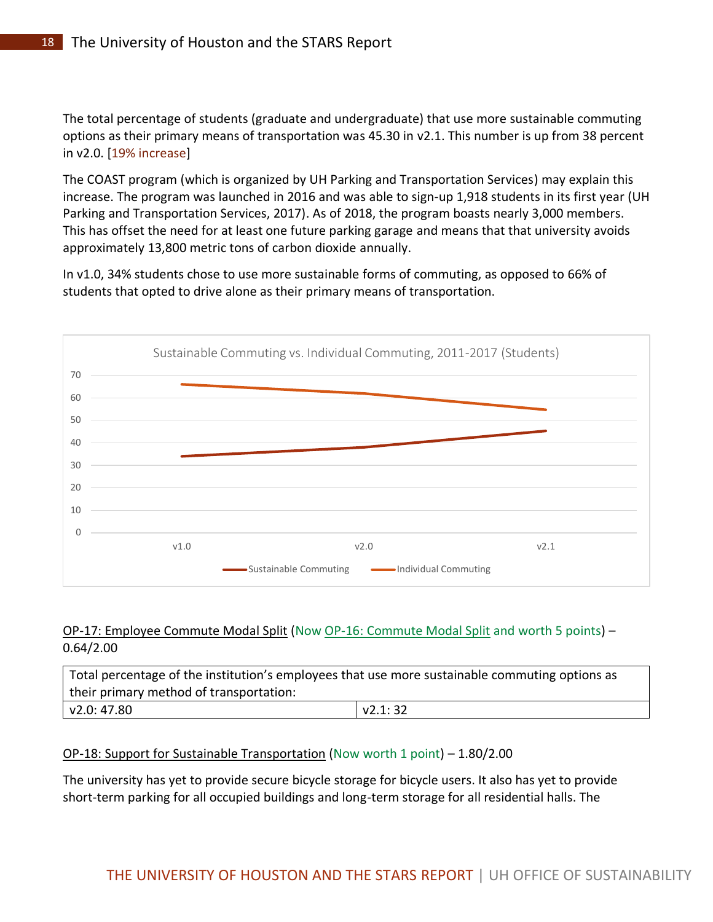The total percentage of students (graduate and undergraduate) that use more sustainable commuting options as their primary means of transportation was 45.30 in v2.1. This number is up from 38 percent in v2.0. [19% increase]

The COAST program (which is organized by UH Parking and Transportation Services) may explain this increase. The program was launched in 2016 and was able to sign-up 1,918 students in its first year (UH Parking and Transportation Services, 2017). As of 2018, the program boasts nearly 3,000 members. This has offset the need for at least one future parking garage and means that that university avoids approximately 13,800 metric tons of carbon dioxide annually.

In v1.0, 34% students chose to use more sustainable forms of commuting, as opposed to 66% of students that opted to drive alone as their primary means of transportation.



# OP-17: Employee Commute Modal Split (Now OP-16: Commute Modal Split and worth 5 points) – 0.64/2.00

| Total percentage of the institution's employees that use more sustainable commuting options as |         |
|------------------------------------------------------------------------------------------------|---------|
| their primary method of transportation:                                                        |         |
| $\sqrt{2.0}$ : 47.80                                                                           | V2.1:32 |

# OP-18: Support for Sustainable Transportation (Now worth 1 point) – 1.80/2.00

The university has yet to provide secure bicycle storage for bicycle users. It also has yet to provide short-term parking for all occupied buildings and long-term storage for all residential halls. The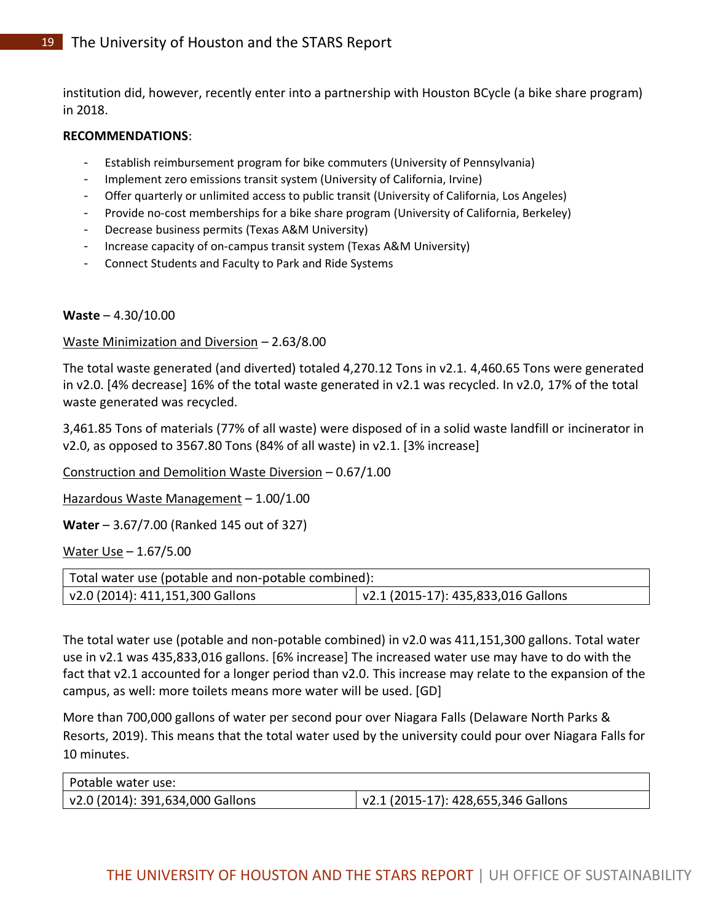institution did, however, recently enter into a partnership with Houston BCycle (a bike share program) in 2018.

#### **RECOMMENDATIONS**:

- Establish reimbursement program for bike commuters (University of Pennsylvania)
- Implement zero emissions transit system (University of California, Irvine)
- Offer quarterly or unlimited access to public transit (University of California, Los Angeles)
- Provide no-cost memberships for a bike share program (University of California, Berkeley)
- Decrease business permits (Texas A&M University)
- Increase capacity of on-campus transit system (Texas A&M University)
- Connect Students and Faculty to Park and Ride Systems

### **Waste** – 4.30/10.00

### Waste Minimization and Diversion *–* 2.63/8.00

The total waste generated (and diverted) totaled 4,270.12 Tons in v2.1. 4,460.65 Tons were generated in v2.0. [4% decrease] 16% of the total waste generated in v2.1 was recycled. In v2.0, 17% of the total waste generated was recycled.

3,461.85 Tons of materials (77% of all waste) were disposed of in a solid waste landfill or incinerator in v2.0, as opposed to 3567.80 Tons (84% of all waste) in v2.1. [3% increase]

Construction and Demolition Waste Diversion – 0.67/1.00

Hazardous Waste Management – 1.00/1.00

**Water** – 3.67/7.00 (Ranked 145 out of 327)

Water Use – 1.67/5.00

| Total water use (potable and non-potable combined): |                                             |  |
|-----------------------------------------------------|---------------------------------------------|--|
| $\sqrt{2.0}$ (2014): 411,151,300 Gallons            | $\vert$ v2.1 (2015-17): 435,833,016 Gallons |  |

The total water use (potable and non-potable combined) in v2.0 was 411,151,300 gallons. Total water use in v2.1 was 435,833,016 gallons. [6% increase] The increased water use may have to do with the fact that v2.1 accounted for a longer period than v2.0. This increase may relate to the expansion of the campus, as well: more toilets means more water will be used. [GD]

More than 700,000 gallons of water per second pour over Niagara Falls (Delaware North Parks & Resorts, 2019). This means that the total water used by the university could pour over Niagara Falls for 10 minutes.

| Potable water use:               |                                     |
|----------------------------------|-------------------------------------|
| v2.0 (2014): 391,634,000 Gallons | v2.1 (2015-17): 428,655,346 Gallons |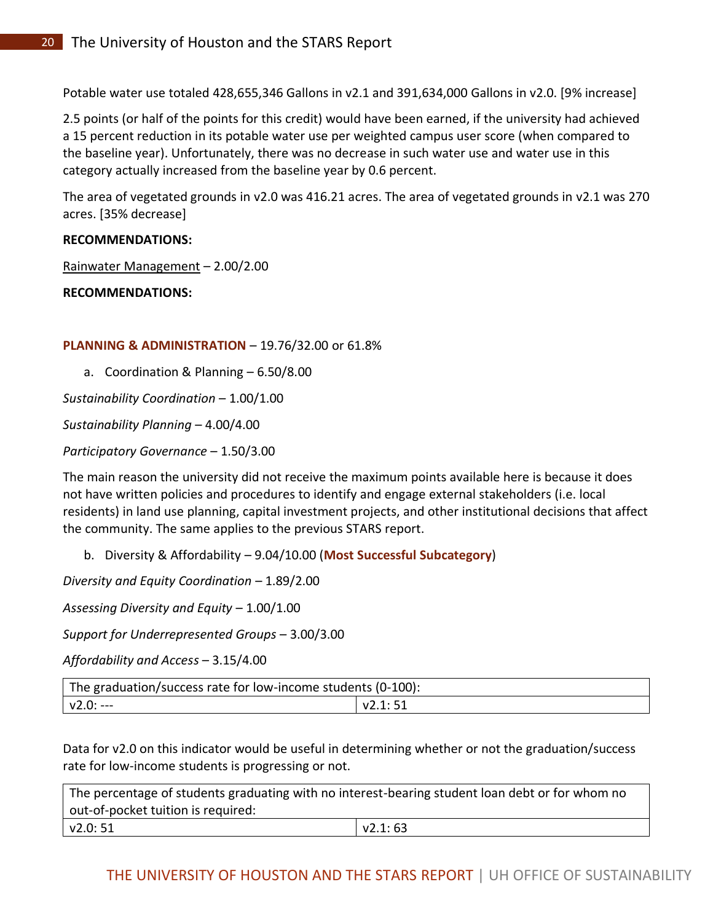Potable water use totaled 428,655,346 Gallons in v2.1 and 391,634,000 Gallons in v2.0. [9% increase]

2.5 points (or half of the points for this credit) would have been earned, if the university had achieved a 15 percent reduction in its potable water use per weighted campus user score (when compared to the baseline year). Unfortunately, there was no decrease in such water use and water use in this category actually increased from the baseline year by 0.6 percent.

The area of vegetated grounds in v2.0 was 416.21 acres. The area of vegetated grounds in v2.1 was 270 acres. [35% decrease]

### **RECOMMENDATIONS:**

Rainwater Management – 2.00/2.00

#### **RECOMMENDATIONS:**

### **PLANNING & ADMINISTRATION** – 19.76/32.00 or 61.8%

a. Coordination & Planning – 6.50/8.00

*Sustainability Coordination* – 1.00/1.00

*Sustainability Planning* – 4.00/4.00

*Participatory Governance* – 1.50/3.00

The main reason the university did not receive the maximum points available here is because it does not have written policies and procedures to identify and engage external stakeholders (i.e. local residents) in land use planning, capital investment projects, and other institutional decisions that affect the community. The same applies to the previous STARS report.

b. Diversity & Affordability – 9.04/10.00 (**Most Successful Subcategory**)

*Diversity and Equity Coordination* – 1.89/2.00

*Assessing Diversity and Equity* – 1.00/1.00

*Support for Underrepresented Groups* – 3.00/3.00

*Affordability and Access* – 3.15/4.00

| The graduation/success rate for low-income students (0-100): |          |
|--------------------------------------------------------------|----------|
| $V2.0$ :                                                     | v2.1: 51 |

Data for v2.0 on this indicator would be useful in determining whether or not the graduation/success rate for low-income students is progressing or not.

| The percentage of students graduating with no interest-bearing student loan debt or for whom no |         |  |
|-------------------------------------------------------------------------------------------------|---------|--|
| out-of-pocket tuition is required:                                                              |         |  |
| v2.0: 51                                                                                        | V2.1:63 |  |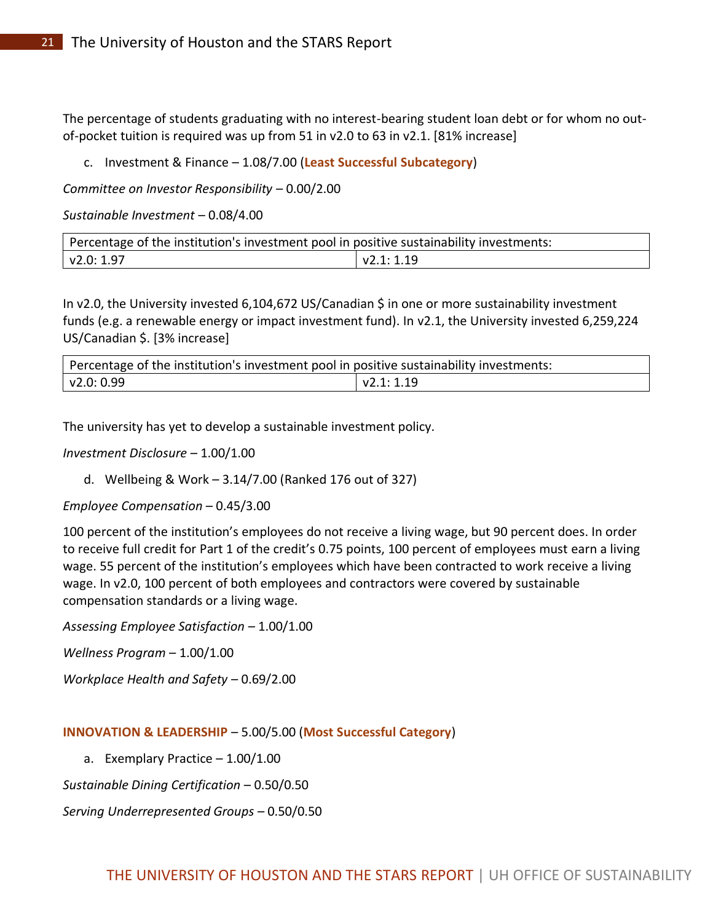The percentage of students graduating with no interest-bearing student loan debt or for whom no outof-pocket tuition is required was up from 51 in v2.0 to 63 in v2.1. [81% increase]

c. Investment & Finance – 1.08/7.00 (**Least Successful Subcategory**)

*Committee on Investor Responsibility* – 0.00/2.00

*Sustainable Investment* – 0.08/4.00

| Percentage of the institution's investment pool in positive sustainability investments: |           |  |
|-----------------------------------------------------------------------------------------|-----------|--|
| $\sqrt{2.0:1.97}$                                                                       | V2.1:1.19 |  |

In v2.0, the University invested 6,104,672 US/Canadian \$ in one or more sustainability investment funds (e.g. a renewable energy or impact investment fund). In v2.1, the University invested 6,259,224 US/Canadian \$. [3% increase]

| Percentage of the institution's investment pool in positive sustainability investments: |           |  |
|-----------------------------------------------------------------------------------------|-----------|--|
| v2.0: 0.99                                                                              | v2.1:1.19 |  |

The university has yet to develop a sustainable investment policy.

*Investment Disclosure* – 1.00/1.00

d. Wellbeing & Work – 3.14/7.00 (Ranked 176 out of 327)

*Employee Compensation* – 0.45/3.00

100 percent of the institution's employees do not receive a living wage, but 90 percent does. In order to receive full credit for Part 1 of the credit's 0.75 points, 100 percent of employees must earn a living wage. 55 percent of the institution's employees which have been contracted to work receive a living wage. In v2.0, 100 percent of both employees and contractors were covered by sustainable compensation standards or a living wage.

*Assessing Employee Satisfaction –* 1.00/1.00

*Wellness Program* – 1.00/1.00

*Workplace Health and Safety* – 0.69/2.00

#### **INNOVATION & LEADERSHIP** – 5.00/5.00 (**Most Successful Category**)

a. Exemplary Practice – 1.00/1.00

*Sustainable Dining Certification* – 0.50/0.50

*Serving Underrepresented Groups* – 0.50/0.50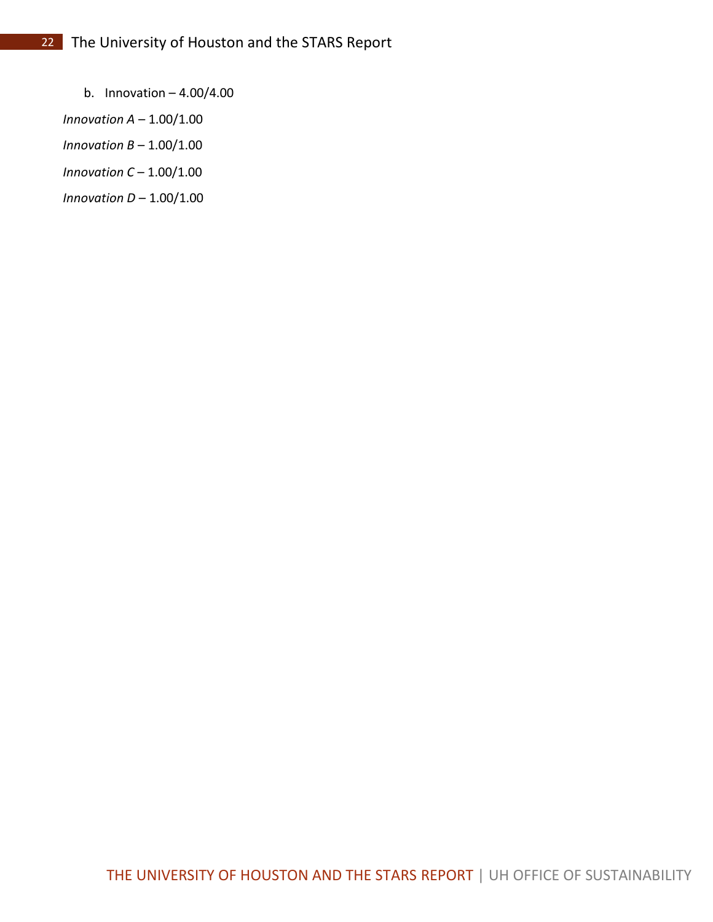b. Innovation  $-4.00/4.00$ 

*Innovation A* – 1.00/1.00

- *Innovation B* 1.00/1.00
- *Innovation C* 1.00/1.00

*Innovation D* – 1.00/1.00